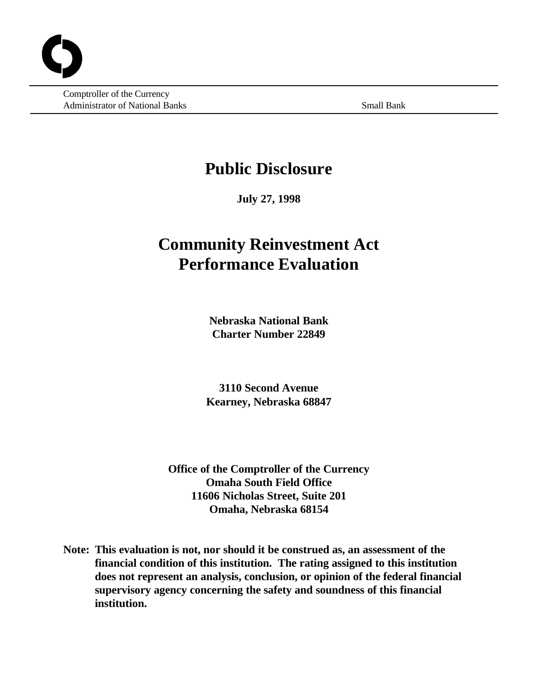Comptroller of the Currency Administrator of National Banks Small Banks Small Bank

# **Public Disclosure**

**July 27, 1998**

# **Community Reinvestment Act Performance Evaluation**

**Nebraska National Bank Charter Number 22849**

**3110 Second Avenue Kearney, Nebraska 68847**

**Office of the Comptroller of the Currency Omaha South Field Office 11606 Nicholas Street, Suite 201 Omaha, Nebraska 68154**

**Note: This evaluation is not, nor should it be construed as, an assessment of the financial condition of this institution. The rating assigned to this institution does not represent an analysis, conclusion, or opinion of the federal financial supervisory agency concerning the safety and soundness of this financial institution.**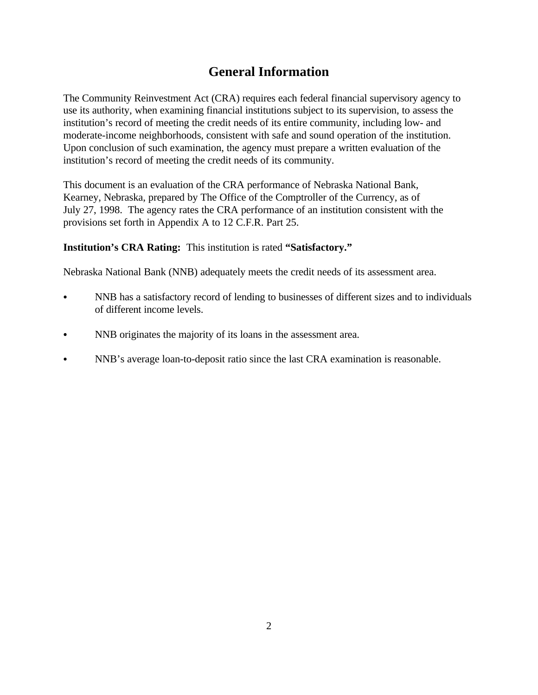# **General Information**

The Community Reinvestment Act (CRA) requires each federal financial supervisory agency to use its authority, when examining financial institutions subject to its supervision, to assess the institution's record of meeting the credit needs of its entire community, including low- and moderate-income neighborhoods, consistent with safe and sound operation of the institution. Upon conclusion of such examination, the agency must prepare a written evaluation of the institution's record of meeting the credit needs of its community.

This document is an evaluation of the CRA performance of Nebraska National Bank, Kearney, Nebraska, prepared by The Office of the Comptroller of the Currency, as of July 27, 1998. The agency rates the CRA performance of an institution consistent with the provisions set forth in Appendix A to 12 C.F.R. Part 25.

**Institution's CRA Rating:** This institution is rated **"Satisfactory."**

Nebraska National Bank (NNB) adequately meets the credit needs of its assessment area.

- NNB has a satisfactory record of lending to businesses of different sizes and to individuals of different income levels.
- NNB originates the majority of its loans in the assessment area.
- NNB's average loan-to-deposit ratio since the last CRA examination is reasonable.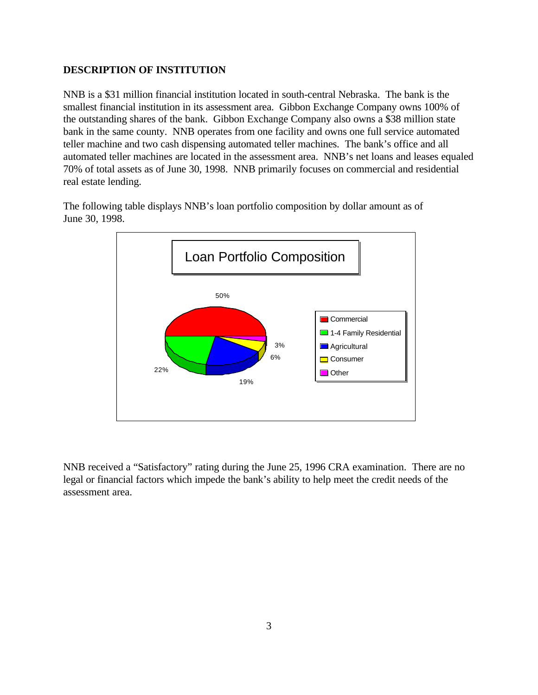### **DESCRIPTION OF INSTITUTION**

NNB is a \$31 million financial institution located in south-central Nebraska. The bank is the smallest financial institution in its assessment area. Gibbon Exchange Company owns 100% of the outstanding shares of the bank. Gibbon Exchange Company also owns a \$38 million state bank in the same county. NNB operates from one facility and owns one full service automated teller machine and two cash dispensing automated teller machines. The bank's office and all automated teller machines are located in the assessment area. NNB's net loans and leases equaled 70% of total assets as of June 30, 1998. NNB primarily focuses on commercial and residential real estate lending.

The following table displays NNB's loan portfolio composition by dollar amount as of June 30, 1998.



NNB received a "Satisfactory" rating during the June 25, 1996 CRA examination. There are no legal or financial factors which impede the bank's ability to help meet the credit needs of the assessment area.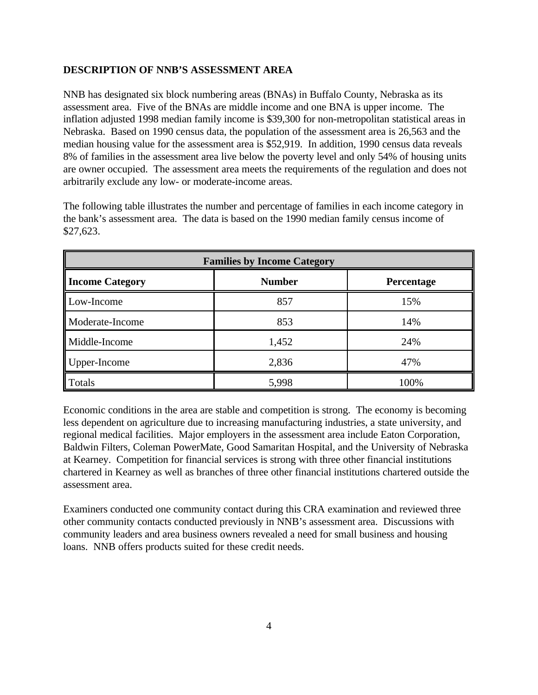## **DESCRIPTION OF NNB'S ASSESSMENT AREA**

NNB has designated six block numbering areas (BNAs) in Buffalo County, Nebraska as its assessment area. Five of the BNAs are middle income and one BNA is upper income. The inflation adjusted 1998 median family income is \$39,300 for non-metropolitan statistical areas in Nebraska. Based on 1990 census data, the population of the assessment area is 26,563 and the median housing value for the assessment area is \$52,919. In addition, 1990 census data reveals 8% of families in the assessment area live below the poverty level and only 54% of housing units are owner occupied. The assessment area meets the requirements of the regulation and does not arbitrarily exclude any low- or moderate-income areas.

The following table illustrates the number and percentage of families in each income category in the bank's assessment area. The data is based on the 1990 median family census income of \$27,623.

| <b>Families by Income Category</b> |               |                   |  |  |
|------------------------------------|---------------|-------------------|--|--|
| <b>Income Category</b>             | <b>Number</b> | <b>Percentage</b> |  |  |
| Low-Income                         | 857           | 15%               |  |  |
| Moderate-Income                    | 853           | 14%               |  |  |
| Middle-Income                      | 1,452         | 24%               |  |  |
| Upper-Income                       | 2,836         | 47%               |  |  |
| Totals                             | 5,998         | 100%              |  |  |

Economic conditions in the area are stable and competition is strong. The economy is becoming less dependent on agriculture due to increasing manufacturing industries, a state university, and regional medical facilities. Major employers in the assessment area include Eaton Corporation, Baldwin Filters, Coleman PowerMate, Good Samaritan Hospital, and the University of Nebraska at Kearney. Competition for financial services is strong with three other financial institutions chartered in Kearney as well as branches of three other financial institutions chartered outside the assessment area.

Examiners conducted one community contact during this CRA examination and reviewed three other community contacts conducted previously in NNB's assessment area. Discussions with community leaders and area business owners revealed a need for small business and housing loans. NNB offers products suited for these credit needs.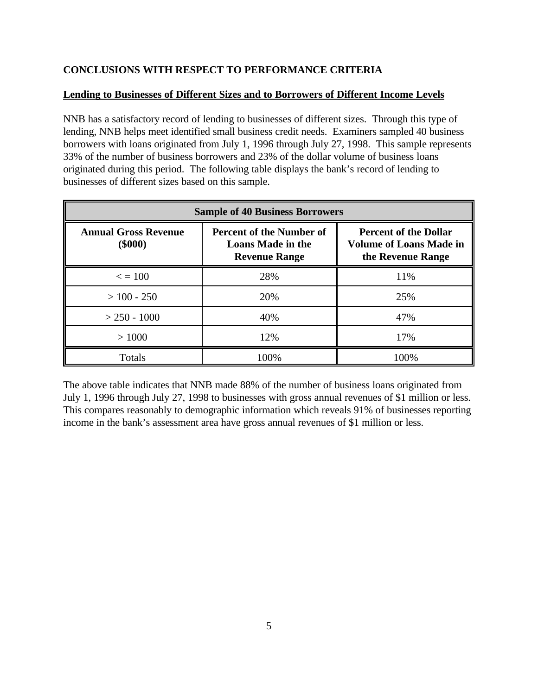# **CONCLUSIONS WITH RESPECT TO PERFORMANCE CRITERIA**

# **Lending to Businesses of Different Sizes and to Borrowers of Different Income Levels**

NNB has a satisfactory record of lending to businesses of different sizes. Through this type of lending, NNB helps meet identified small business credit needs. Examiners sampled 40 business borrowers with loans originated from July 1, 1996 through July 27, 1998. This sample represents 33% of the number of business borrowers and 23% of the dollar volume of business loans originated during this period. The following table displays the bank's record of lending to businesses of different sizes based on this sample.

| <b>Sample of 40 Business Borrowers</b>   |                                                                                     |                                                                                     |  |  |  |
|------------------------------------------|-------------------------------------------------------------------------------------|-------------------------------------------------------------------------------------|--|--|--|
| <b>Annual Gross Revenue</b><br>$(\$000)$ | <b>Percent of the Number of</b><br><b>Loans Made in the</b><br><b>Revenue Range</b> | <b>Percent of the Dollar</b><br><b>Volume of Loans Made in</b><br>the Revenue Range |  |  |  |
| $\epsilon = 100$                         | 28%                                                                                 | 11%                                                                                 |  |  |  |
| $>100 - 250$                             | 20%                                                                                 | 25%                                                                                 |  |  |  |
| $>$ 250 - 1000                           | 40%                                                                                 | 47%                                                                                 |  |  |  |
| >1000                                    | 12%                                                                                 | 17%                                                                                 |  |  |  |
| Totals                                   | 100%                                                                                | 100%                                                                                |  |  |  |

The above table indicates that NNB made 88% of the number of business loans originated from July 1, 1996 through July 27, 1998 to businesses with gross annual revenues of \$1 million or less. This compares reasonably to demographic information which reveals 91% of businesses reporting income in the bank's assessment area have gross annual revenues of \$1 million or less.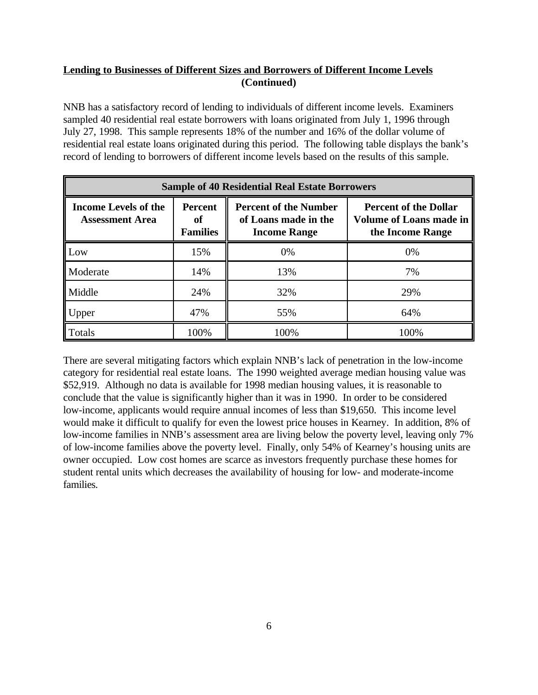# **Lending to Businesses of Different Sizes and Borrowers of Different Income Levels (Continued)**

NNB has a satisfactory record of lending to individuals of different income levels. Examiners sampled 40 residential real estate borrowers with loans originated from July 1, 1996 through July 27, 1998. This sample represents 18% of the number and 16% of the dollar volume of residential real estate loans originated during this period. The following table displays the bank's record of lending to borrowers of different income levels based on the results of this sample.

| <b>Sample of 40 Residential Real Estate Borrowers</b> |                                         |                                                                             |                                                                                    |  |  |
|-------------------------------------------------------|-----------------------------------------|-----------------------------------------------------------------------------|------------------------------------------------------------------------------------|--|--|
| <b>Income Levels of the</b><br><b>Assessment Area</b> | <b>Percent</b><br>оf<br><b>Families</b> | <b>Percent of the Number</b><br>of Loans made in the<br><b>Income Range</b> | <b>Percent of the Dollar</b><br><b>Volume of Loans made in</b><br>the Income Range |  |  |
| Low                                                   | 15%                                     | 0%                                                                          | 0%                                                                                 |  |  |
| Moderate                                              | 14%                                     | 13%                                                                         | 7%                                                                                 |  |  |
| Middle                                                | 24%                                     | 32%                                                                         | 29%                                                                                |  |  |
| Upper                                                 | 47%                                     | 55%                                                                         | 64%                                                                                |  |  |
| Totals                                                | 100%                                    | 100%                                                                        | 100%                                                                               |  |  |

There are several mitigating factors which explain NNB's lack of penetration in the low-income category for residential real estate loans. The 1990 weighted average median housing value was \$52,919. Although no data is available for 1998 median housing values, it is reasonable to conclude that the value is significantly higher than it was in 1990. In order to be considered low-income, applicants would require annual incomes of less than \$19,650. This income level would make it difficult to qualify for even the lowest price houses in Kearney. In addition, 8% of low-income families in NNB's assessment area are living below the poverty level, leaving only 7% of low-income families above the poverty level. Finally, only 54% of Kearney's housing units are owner occupied. Low cost homes are scarce as investors frequently purchase these homes for student rental units which decreases the availability of housing for low- and moderate-income families.